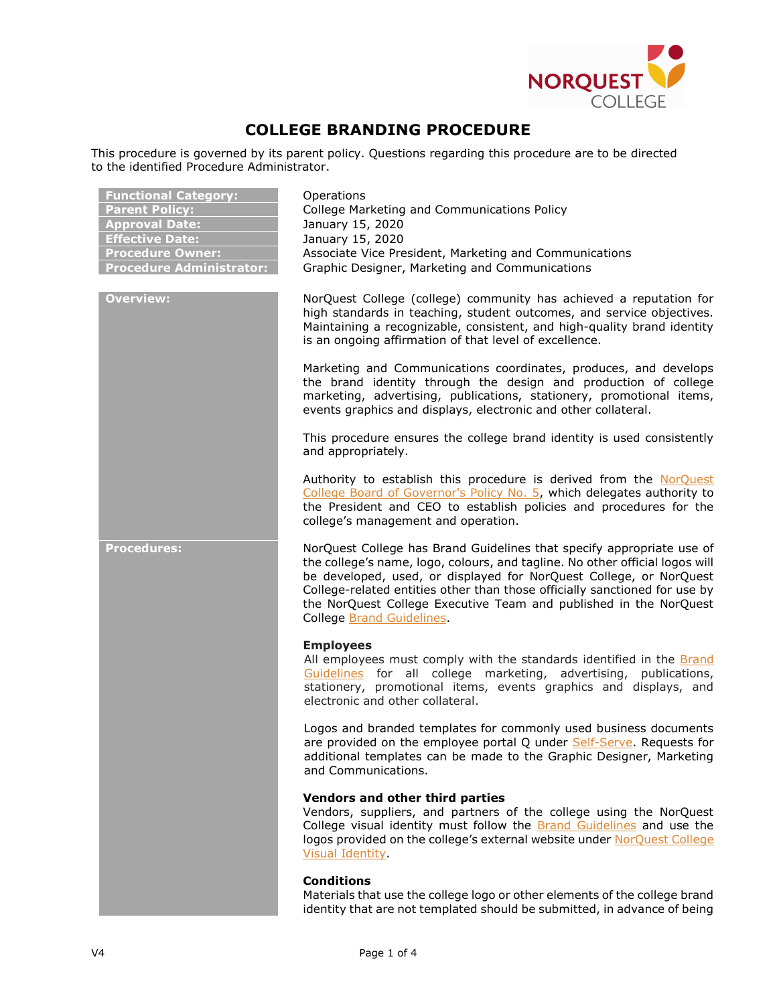

# COLLEGE BRANDING PROCEDURE

This procedure is governed by its parent policy. Questions regarding this procedure are to be directed to the identified Procedure Administrator.

| <b>Functional Category:</b><br><b>Parent Policy:</b><br><b>Approval Date:</b><br><b>Effective Date:</b><br><b>Procedure Owner:</b><br><b>Procedure Administrator:</b> | Operations<br>College Marketing and Communications Policy<br>January 15, 2020<br>January 15, 2020<br>Associate Vice President, Marketing and Communications<br>Graphic Designer, Marketing and Communications                                                                                                                                                                                               |
|-----------------------------------------------------------------------------------------------------------------------------------------------------------------------|-------------------------------------------------------------------------------------------------------------------------------------------------------------------------------------------------------------------------------------------------------------------------------------------------------------------------------------------------------------------------------------------------------------|
| <b>Overview:</b>                                                                                                                                                      | NorQuest College (college) community has achieved a reputation for<br>high standards in teaching, student outcomes, and service objectives.<br>Maintaining a recognizable, consistent, and high-quality brand identity<br>is an ongoing affirmation of that level of excellence.                                                                                                                            |
|                                                                                                                                                                       | Marketing and Communications coordinates, produces, and develops<br>the brand identity through the design and production of college<br>marketing, advertising, publications, stationery, promotional items,<br>events graphics and displays, electronic and other collateral.                                                                                                                               |
|                                                                                                                                                                       | This procedure ensures the college brand identity is used consistently<br>and appropriately.                                                                                                                                                                                                                                                                                                                |
|                                                                                                                                                                       | Authority to establish this procedure is derived from the NorQuest<br>College Board of Governor's Policy No. 5, which delegates authority to<br>the President and CEO to establish policies and procedures for the<br>college's management and operation.                                                                                                                                                   |
| <b>Procedures:</b>                                                                                                                                                    | NorQuest College has Brand Guidelines that specify appropriate use of<br>the college's name, logo, colours, and tagline. No other official logos will<br>be developed, used, or displayed for NorQuest College, or NorQuest<br>College-related entities other than those officially sanctioned for use by<br>the NorQuest College Executive Team and published in the NorQuest<br>College Brand Guidelines. |
|                                                                                                                                                                       | <b>Employees</b><br>All employees must comply with the standards identified in the Brand<br>Guidelines for all college marketing, advertising,<br>publications,<br>stationery, promotional items, events graphics and displays, and<br>electronic and other collateral.                                                                                                                                     |
|                                                                                                                                                                       | Logos and branded templates for commonly used business documents<br>are provided on the employee portal Q under Self-Serve. Requests for<br>additional templates can be made to the Graphic Designer, Marketing<br>and Communications.                                                                                                                                                                      |
|                                                                                                                                                                       | Vendors and other third parties<br>Vendors, suppliers, and partners of the college using the NorQuest<br>College visual identity must follow the <b>Brand Guidelines</b> and use the<br>logos provided on the college's external website under NorQuest College<br>Visual Identity.                                                                                                                         |
|                                                                                                                                                                       | <b>Conditions</b><br>Materials that use the college logo or other elements of the college brand<br>identity that are not templated should be submitted, in advance of being                                                                                                                                                                                                                                 |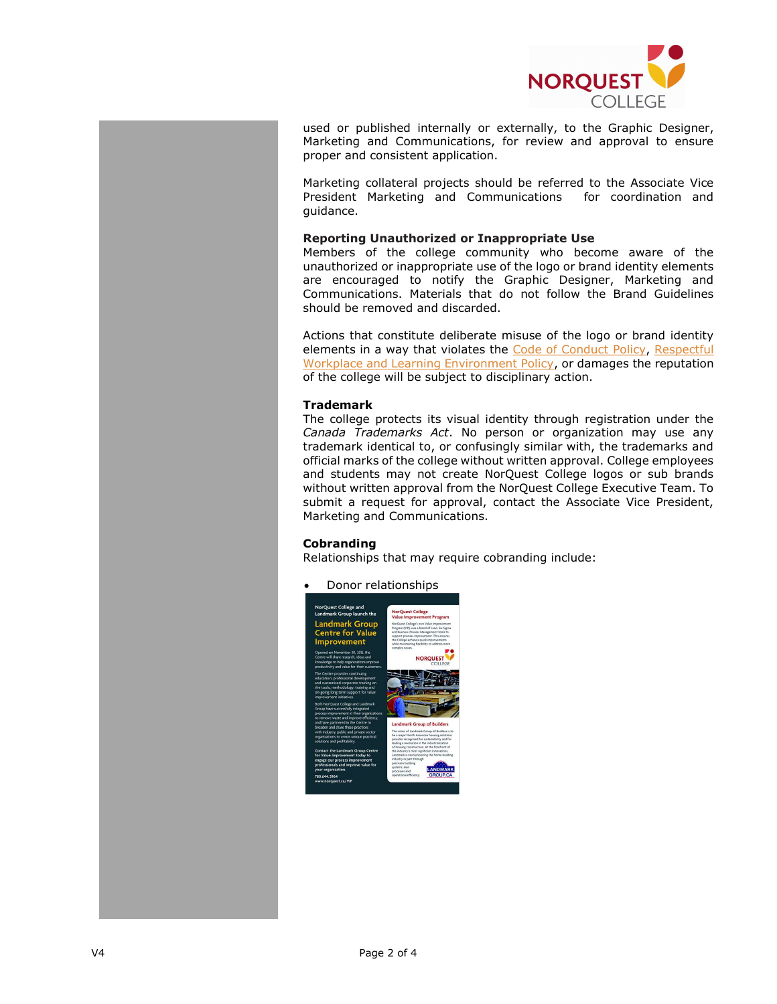

used or published internally or externally, to the Graphic Designer, Marketing and Communications, for review and approval to ensure proper and consistent application.

Marketing collateral projects should be referred to the Associate Vice President Marketing and Communications for coordination and guidance.

## Reporting Unauthorized or Inappropriate Use

Members of the college community who become aware of the unauthorized or inappropriate use of the logo or brand identity elements are encouraged to notify the Graphic Designer, Marketing and Communications. Materials that do not follow the Brand Guidelines should be removed and discarded.

Actions that constitute deliberate misuse of the logo or brand identity elements in a way that violates the Code of Conduct Policy, Respectful Workplace and Learning Environment Policy, or damages the reputation of the college will be subject to disciplinary action.

# **Trademark**

The college protects its visual identity through registration under the Canada Trademarks Act. No person or organization may use any trademark identical to, or confusingly similar with, the trademarks and official marks of the college without written approval. College employees and students may not create NorQuest College logos or sub brands without written approval from the NorQuest College Executive Team. To submit a request for approval, contact the Associate Vice President, Marketing and Communications.

# Cobranding

Relationships that may require cobranding include:

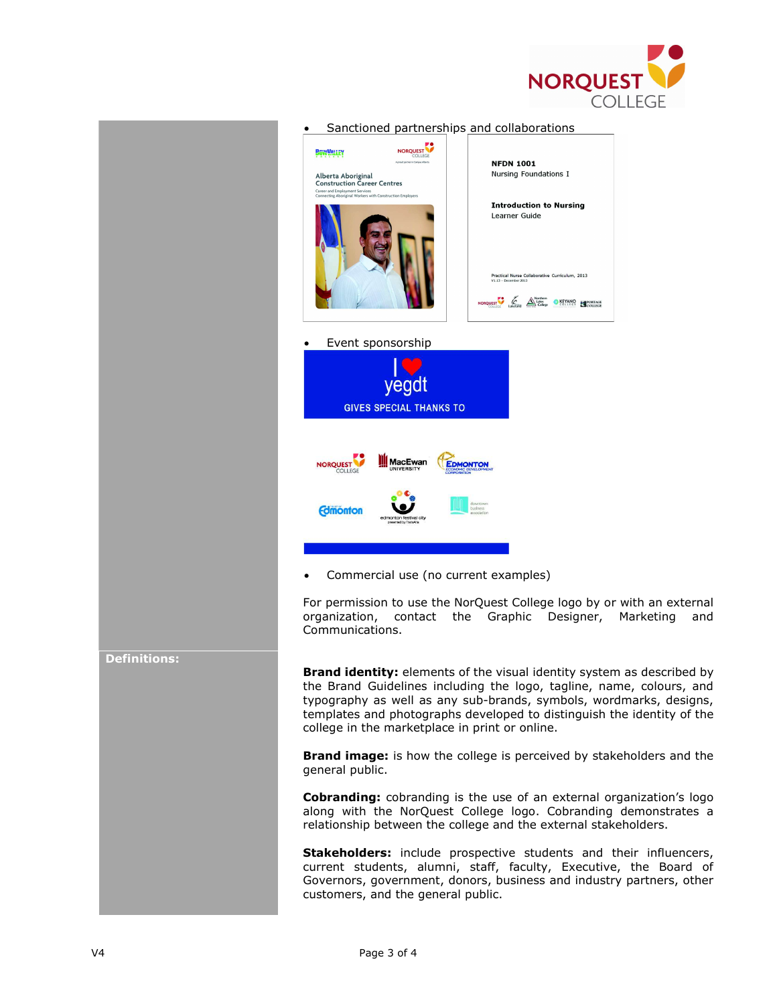



Cobranding: cobranding is the use of an external organization's logo along with the NorQuest College logo. Cobranding demonstrates a relationship between the college and the external stakeholders.

Stakeholders: include prospective students and their influencers, current students, alumni, staff, faculty, Executive, the Board of Governors, government, donors, business and industry partners, other customers, and the general public.

## Definitions: